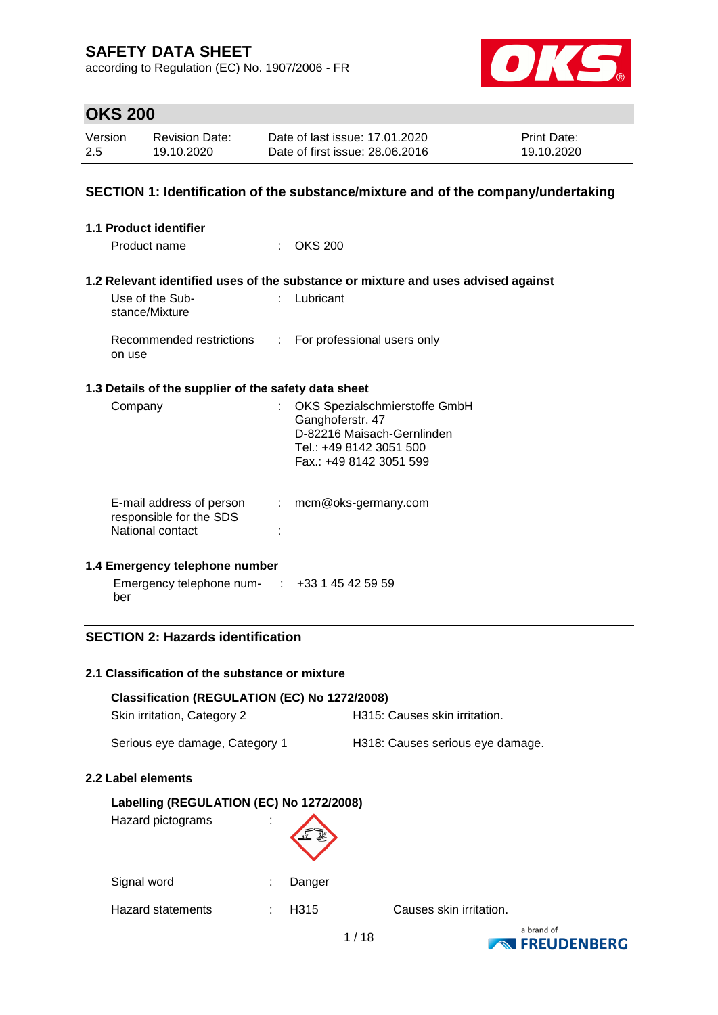according to Regulation (EC) No. 1907/2006 - FR



# **OKS 200**

| Version | <b>Revision Date:</b> | Date of last issue: 17.01.2020  | <b>Print Date:</b> |
|---------|-----------------------|---------------------------------|--------------------|
| 2.5     | 19.10.2020            | Date of first issue: 28,06,2016 | 19.10.2020         |

### **SECTION 1: Identification of the substance/mixture and of the company/undertaking**

| <b>1.1 Product identifier</b>     |                                                      |                           |                                                                                                                                         |
|-----------------------------------|------------------------------------------------------|---------------------------|-----------------------------------------------------------------------------------------------------------------------------------------|
| Product name                      |                                                      |                           | OKS 200                                                                                                                                 |
|                                   |                                                      |                           | 1.2 Relevant identified uses of the substance or mixture and uses advised against                                                       |
| Use of the Sub-<br>stance/Mixture |                                                      |                           | : Lubricant                                                                                                                             |
| on use                            | Recommended restrictions                             |                           | : For professional users only                                                                                                           |
|                                   | 1.3 Details of the supplier of the safety data sheet |                           |                                                                                                                                         |
| Company                           |                                                      |                           | : OKS Spezialschmierstoffe GmbH<br>Ganghoferstr. 47<br>D-82216 Maisach-Gernlinden<br>Tel.: +49 8142 3051 500<br>Fax.: +49 8142 3051 599 |
| National contact                  | E-mail address of person<br>responsible for the SDS  | $\mathbb{R}^{\mathbb{Z}}$ | mcm@oks-germany.com                                                                                                                     |
|                                   | 1.4 Emergency telephone number                       |                           |                                                                                                                                         |
| ber                               |                                                      |                           | Emergency telephone num- : +33 1 45 42 59 59                                                                                            |
|                                   |                                                      |                           |                                                                                                                                         |

## **SECTION 2: Hazards identification**

#### **2.1 Classification of the substance or mixture**

| Classification (REGULATION (EC) No 1272/2008)<br>Skin irritation, Category 2 |        | H315: Causes skin irritation.    |
|------------------------------------------------------------------------------|--------|----------------------------------|
| Serious eye damage, Category 1                                               |        | H318: Causes serious eye damage. |
| 2.2 Label elements                                                           |        |                                  |
| Labelling (REGULATION (EC) No 1272/2008)<br>Hazard pictograms                |        |                                  |
| Signal word                                                                  | Danger |                                  |

Hazard statements : H315 Causes skin irritation.

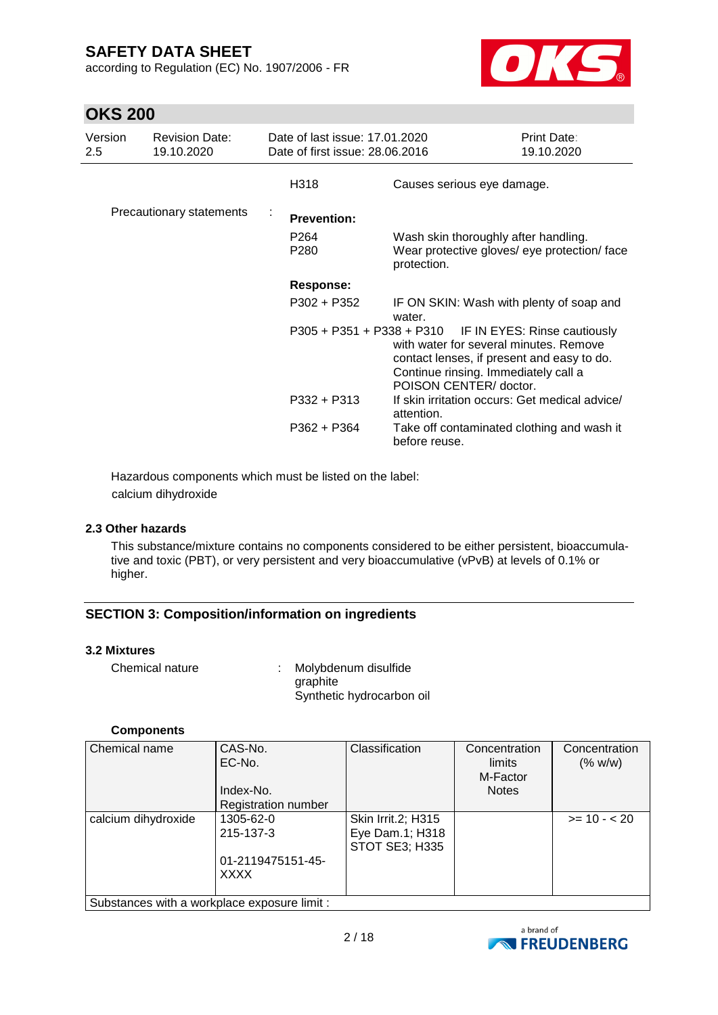according to Regulation (EC) No. 1907/2006 - FR



# **OKS 200**

| Version<br>2.5 | <b>Revision Date:</b><br>19.10.2020 | Date of last issue: 17.01.2020<br>Date of first issue: 28,06,2016 | Print Date:<br>19.10.2020                                                                                                                                                                                       |  |
|----------------|-------------------------------------|-------------------------------------------------------------------|-----------------------------------------------------------------------------------------------------------------------------------------------------------------------------------------------------------------|--|
|                |                                     | H318                                                              | Causes serious eye damage.                                                                                                                                                                                      |  |
|                | Precautionary statements            | <b>Prevention:</b>                                                |                                                                                                                                                                                                                 |  |
|                |                                     | P <sub>264</sub><br>P280                                          | Wash skin thoroughly after handling.<br>Wear protective gloves/ eye protection/ face<br>protection.                                                                                                             |  |
|                |                                     | <b>Response:</b>                                                  |                                                                                                                                                                                                                 |  |
|                |                                     | P302 + P352                                                       | IF ON SKIN: Wash with plenty of soap and<br>water.                                                                                                                                                              |  |
|                |                                     |                                                                   | P305 + P351 + P338 + P310 IF IN EYES: Rinse cautiously<br>with water for several minutes. Remove<br>contact lenses, if present and easy to do.<br>Continue rinsing. Immediately call a<br>POISON CENTER/doctor. |  |
|                |                                     | $P332 + P313$                                                     | If skin irritation occurs: Get medical advice/<br>attention.                                                                                                                                                    |  |
|                |                                     | $P362 + P364$                                                     | Take off contaminated clothing and wash it<br>before reuse.                                                                                                                                                     |  |

Hazardous components which must be listed on the label: calcium dihydroxide

#### **2.3 Other hazards**

This substance/mixture contains no components considered to be either persistent, bioaccumulative and toxic (PBT), or very persistent and very bioaccumulative (vPvB) at levels of 0.1% or higher.

### **SECTION 3: Composition/information on ingredients**

#### **3.2 Mixtures**

| Chemical nature | Molybdenum disulfide      |
|-----------------|---------------------------|
|                 | graphite                  |
|                 | Synthetic hydrocarbon oil |

#### **Components**

| <b>Chemical name</b>                         | CAS-No.<br>EC-No.   | Classification                           | Concentration<br>limits<br>M-Factor | Concentration<br>(% w/w) |  |
|----------------------------------------------|---------------------|------------------------------------------|-------------------------------------|--------------------------|--|
|                                              | Index-No.           |                                          | <b>Notes</b>                        |                          |  |
|                                              | Registration number |                                          |                                     |                          |  |
| calcium dihydroxide                          | 1305-62-0           | Skin Irrit.2; H315                       |                                     | $>= 10 - 20$             |  |
|                                              | 215-137-3           | Eye Dam.1; H318<br><b>STOT SE3; H335</b> |                                     |                          |  |
|                                              | 01-2119475151-45-   |                                          |                                     |                          |  |
|                                              | <b>XXXX</b>         |                                          |                                     |                          |  |
| Substances with a workplace exposure limit : |                     |                                          |                                     |                          |  |

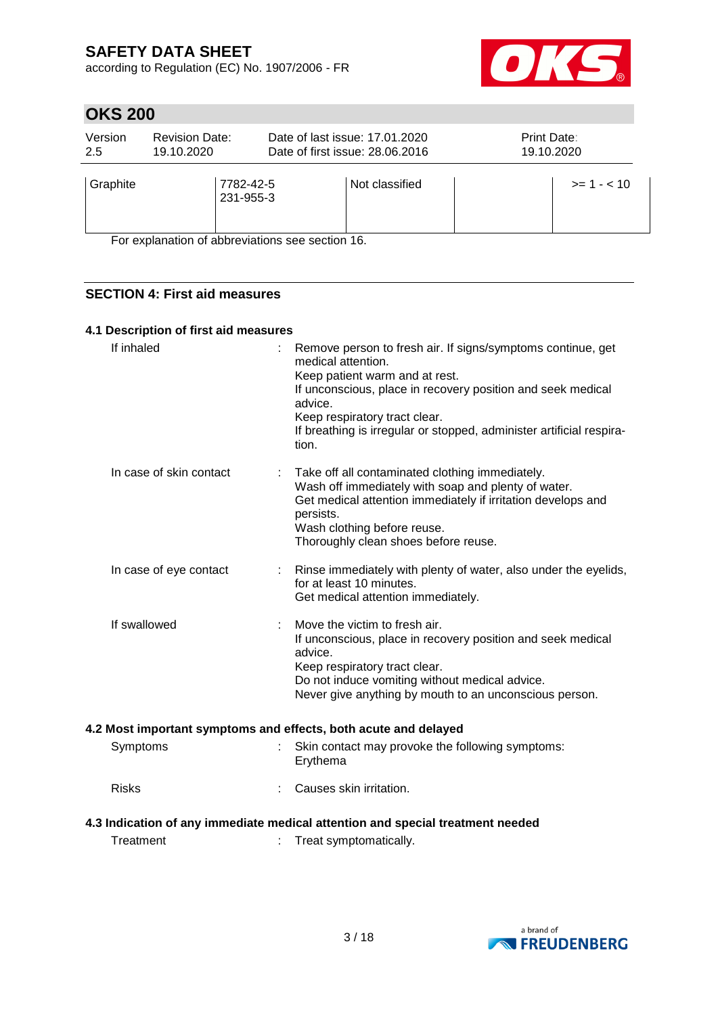according to Regulation (EC) No. 1907/2006 - FR



# **OKS 200**

| Version<br>2.5                                  | <b>Revision Date:</b><br>19.10.2020 |  | Date of last issue: 17.01.2020<br>Date of first issue: 28,06,2016 | Print Date:<br>19.10.2020 |               |
|-------------------------------------------------|-------------------------------------|--|-------------------------------------------------------------------|---------------------------|---------------|
| Graphite                                        | 7782-42-5<br>231-955-3              |  | Not classified                                                    |                           | $>= 1 - < 10$ |
| For evplanation of abbreviations see section 16 |                                     |  |                                                                   |                           |               |

For explanation of abbreviations see section 16.

## **SECTION 4: First aid measures**

#### **4.1 Description of first aid measures**

| If inhaled              | Remove person to fresh air. If signs/symptoms continue, get<br>medical attention.<br>Keep patient warm and at rest.<br>If unconscious, place in recovery position and seek medical<br>advice.<br>Keep respiratory tract clear.<br>If breathing is irregular or stopped, administer artificial respira-<br>tion. |
|-------------------------|-----------------------------------------------------------------------------------------------------------------------------------------------------------------------------------------------------------------------------------------------------------------------------------------------------------------|
| In case of skin contact | Take off all contaminated clothing immediately.<br>Wash off immediately with soap and plenty of water.<br>Get medical attention immediately if irritation develops and<br>persists.<br>Wash clothing before reuse.<br>Thoroughly clean shoes before reuse.                                                      |
| In case of eye contact  | Rinse immediately with plenty of water, also under the eyelids,<br>for at least 10 minutes.<br>Get medical attention immediately.                                                                                                                                                                               |
| If swallowed            | Move the victim to fresh air.<br>If unconscious, place in recovery position and seek medical<br>advice.<br>Keep respiratory tract clear.<br>Do not induce vomiting without medical advice.<br>Never give anything by mouth to an unconscious person.                                                            |
|                         | 4.2 Most important symptoms and effects, both acute and delayed                                                                                                                                                                                                                                                 |
| Symptoms                | Skin contact may provoke the following symptoms:<br>Erythema                                                                                                                                                                                                                                                    |
| <b>Risks</b>            | Causes skin irritation.                                                                                                                                                                                                                                                                                         |
|                         | 4.3 Indication of any immediate medical attention and special treatment needed                                                                                                                                                                                                                                  |
| Treatment               | Treat symptomatically.                                                                                                                                                                                                                                                                                          |

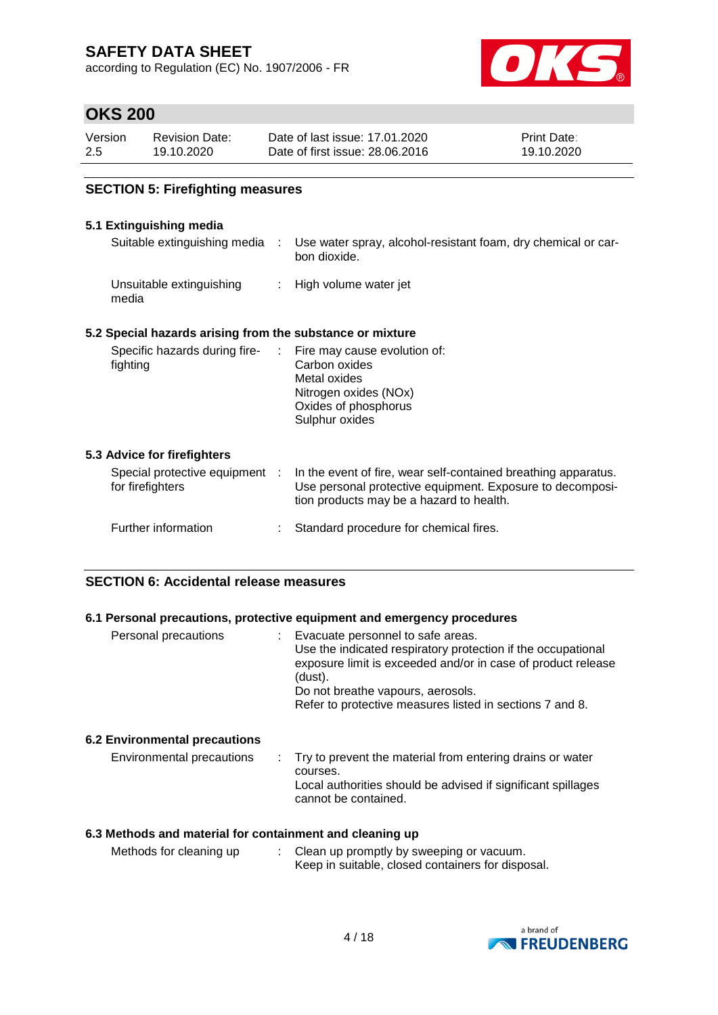according to Regulation (EC) No. 1907/2006 - FR



# **OKS 200**

| Version | Revision Date: | Date of last issue: 17.01.2020  | <b>Print Date:</b> |
|---------|----------------|---------------------------------|--------------------|
| 2.5     | 19.10.2020     | Date of first issue: 28,06,2016 | 19.10.2020         |

### **SECTION 5: Firefighting measures**

### **5.1 Extinguishing media**

| Suitable extinguishing media :                                           | Use water spray, alcohol-resistant foam, dry chemical or car-<br>bon dioxide.                                                                                           |
|--------------------------------------------------------------------------|-------------------------------------------------------------------------------------------------------------------------------------------------------------------------|
| Unsuitable extinguishing<br>media                                        | : High volume water jet                                                                                                                                                 |
| 5.2 Special hazards arising from the substance or mixture                |                                                                                                                                                                         |
| Specific hazards during fire- : Fire may cause evolution of:<br>fighting | Carbon oxides<br>Metal oxides<br>Nitrogen oxides (NOx)<br>Oxides of phosphorus<br>Sulphur oxides                                                                        |
| 5.3 Advice for firefighters                                              |                                                                                                                                                                         |
| Special protective equipment :<br>for firefighters                       | In the event of fire, wear self-contained breathing apparatus.<br>Use personal protective equipment. Exposure to decomposi-<br>tion products may be a hazard to health. |
| Further information                                                      | Standard procedure for chemical fires.                                                                                                                                  |

### **SECTION 6: Accidental release measures**

#### **6.1 Personal precautions, protective equipment and emergency procedures**

| Personal precautions                 | Evacuate personnel to safe areas.<br>Use the indicated respiratory protection if the occupational<br>exposure limit is exceeded and/or in case of product release<br>(dust).<br>Do not breathe vapours, aerosols.<br>Refer to protective measures listed in sections 7 and 8. |
|--------------------------------------|-------------------------------------------------------------------------------------------------------------------------------------------------------------------------------------------------------------------------------------------------------------------------------|
| <b>6.2 Environmental precautions</b> |                                                                                                                                                                                                                                                                               |
| Environmental precautions            | : Try to prevent the material from entering drains or water                                                                                                                                                                                                                   |

#### courses. Local authorities should be advised if significant spillages cannot be contained.

#### **6.3 Methods and material for containment and cleaning up**

| Methods for cleaning up | Clean up promptly by sweeping or vacuum.          |
|-------------------------|---------------------------------------------------|
|                         | Keep in suitable, closed containers for disposal. |

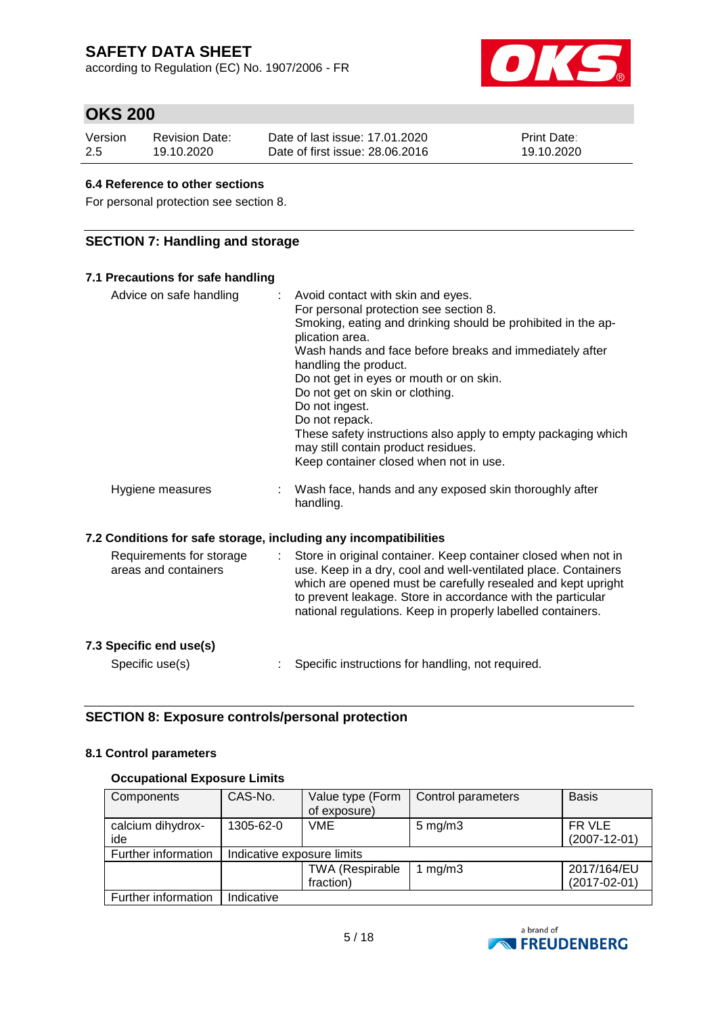according to Regulation (EC) No. 1907/2006 - FR



# **OKS 200**

| Version | <b>Revision Date:</b> | Date of last issue: 17.01.2020  | <b>Print Date:</b> |
|---------|-----------------------|---------------------------------|--------------------|
| -2.5    | 19.10.2020            | Date of first issue: 28,06,2016 | 19.10.2020         |

#### **6.4 Reference to other sections**

For personal protection see section 8.

### **SECTION 7: Handling and storage**

#### **7.1 Precautions for safe handling** Advice on safe handling : Avoid contact with skin and eyes. For personal protection see section 8. Smoking, eating and drinking should be prohibited in the application area. Wash hands and face before breaks and immediately after handling the product. Do not get in eyes or mouth or on skin. Do not get on skin or clothing. Do not ingest. Do not repack. These safety instructions also apply to empty packaging which may still contain product residues. Keep container closed when not in use. Hygiene measures : Wash face, hands and any exposed skin thoroughly after handling. **7.2 Conditions for safe storage, including any incompatibilities** Requirements for storage areas and containers : Store in original container. Keep container closed when not in use. Keep in a dry, cool and well-ventilated place. Containers which are opened must be carefully resealed and kept upright to prevent leakage. Store in accordance with the particular

|                         | national regulations. Keep in properly labelled containers. |
|-------------------------|-------------------------------------------------------------|
| 7.3 Specific end use(s) |                                                             |
| Specific use(s)         | Specific instructions for handling, not required.           |

### **SECTION 8: Exposure controls/personal protection**

#### **8.1 Control parameters**

#### **Occupational Exposure Limits**

| Components          | CAS-No.                    | Value type (Form       | Control parameters | <b>Basis</b>       |
|---------------------|----------------------------|------------------------|--------------------|--------------------|
|                     |                            | of exposure)           |                    |                    |
| calcium dihydrox-   | 1305-62-0                  | <b>VME</b>             | $5 \text{ mg/m}$ 3 | FR VLE             |
| ide                 |                            |                        |                    | $(2007 - 12 - 01)$ |
| Further information | Indicative exposure limits |                        |                    |                    |
|                     |                            | <b>TWA (Respirable</b> | 1 $mg/m3$          | 2017/164/EU        |
|                     |                            | fraction)              |                    | $(2017 - 02 - 01)$ |
| Further information | Indicative                 |                        |                    |                    |

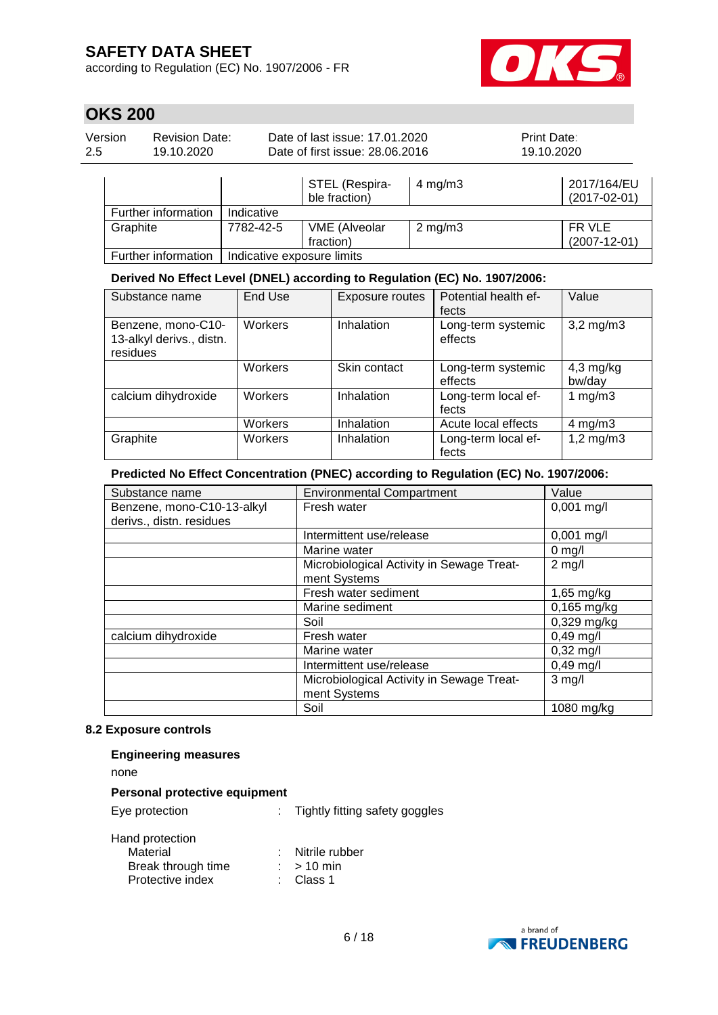according to Regulation (EC) No. 1907/2006 - FR



# **OKS 200**

| Version | <b>Revision Date:</b> | Date of last issue: 17.01.2020  | <b>Print Date:</b> |  |
|---------|-----------------------|---------------------------------|--------------------|--|
| 2.5     | 19.10.2020            | Date of first issue: 28.06.2016 | 19.10.2020         |  |
|         |                       |                                 |                    |  |

|                     |                            | STEL (Respira-<br>ble fraction)   | 4 mg/m $3$       | 2017/164/EU<br>$(2017-02-01)$ |
|---------------------|----------------------------|-----------------------------------|------------------|-------------------------------|
| Further information | Indicative                 |                                   |                  |                               |
| Graphite            | 7782-42-5                  | <b>VME</b> (Alveolar<br>fraction) | $2 \text{ mg/m}$ | FR VLE<br>$(2007 - 12 - 01)$  |
| Further information | Indicative exposure limits |                                   |                  |                               |

#### **Derived No Effect Level (DNEL) according to Regulation (EC) No. 1907/2006:**

| Substance name                                             | End Use | Exposure routes | Potential health ef-<br>fects | Value                 |
|------------------------------------------------------------|---------|-----------------|-------------------------------|-----------------------|
| Benzene, mono-C10-<br>13-alkyl derivs., distn.<br>residues | Workers | Inhalation      | Long-term systemic<br>effects | $3,2$ mg/m $3$        |
|                                                            | Workers | Skin contact    | Long-term systemic<br>effects | $4,3$ mg/kg<br>bw/day |
| calcium dihydroxide                                        | Workers | Inhalation      | Long-term local ef-<br>fects  | 1 $mg/m3$             |
|                                                            | Workers | Inhalation      | Acute local effects           | $4 \text{ mg/m}$ 3    |
| Graphite                                                   | Workers | Inhalation      | Long-term local ef-<br>fects  | $1,2$ mg/m $3$        |

#### **Predicted No Effect Concentration (PNEC) according to Regulation (EC) No. 1907/2006:**

| Substance name             | <b>Environmental Compartment</b>          | Value         |
|----------------------------|-------------------------------------------|---------------|
| Benzene, mono-C10-13-alkyl | Fresh water                               | $0,001$ mg/l  |
| derivs., distn. residues   |                                           |               |
|                            | Intermittent use/release                  | $0,001$ mg/l  |
|                            | Marine water                              | $0$ mg/l      |
|                            | Microbiological Activity in Sewage Treat- | $2$ mg/l      |
|                            | ment Systems                              |               |
|                            | Fresh water sediment                      | $1,65$ mg/kg  |
|                            | Marine sediment                           | $0,165$ mg/kg |
|                            | Soil                                      | $0,329$ mg/kg |
| calcium dihydroxide        | Fresh water                               | $0,49$ mg/l   |
|                            | Marine water                              | $0,32$ mg/l   |
|                            | Intermittent use/release                  | $0,49$ mg/l   |
|                            | Microbiological Activity in Sewage Treat- | $3$ mg/l      |
|                            | ment Systems                              |               |
|                            | Soil                                      | 1080 mg/kg    |

#### **8.2 Exposure controls**

#### **Engineering measures**

none

#### **Personal protective equipment**

| Eye protection  | Tightly fitting safety goggles |
|-----------------|--------------------------------|
| Hand protection |                                |

| Material           | Nitrile rubber |
|--------------------|----------------|
| Break through time | $:$ > 10 min   |
| Protective index   | : Class 1      |

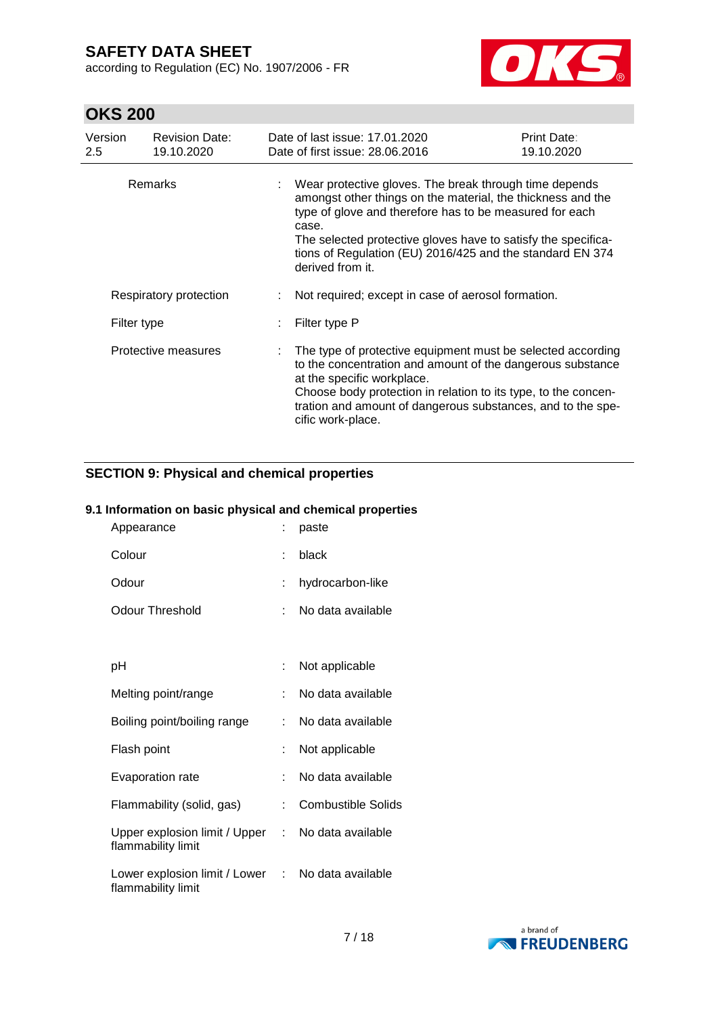according to Regulation (EC) No. 1907/2006 - FR



# **OKS 200**

| Version<br>2.5 | <b>Revision Date:</b><br>19.10.2020 | Date of last issue: 17.01.2020<br>Date of first issue: 28,06,2016                                                                                                                                                                                                                                                                           | Print Date:<br>19.10.2020 |
|----------------|-------------------------------------|---------------------------------------------------------------------------------------------------------------------------------------------------------------------------------------------------------------------------------------------------------------------------------------------------------------------------------------------|---------------------------|
| <b>Remarks</b> |                                     | Wear protective gloves. The break through time depends<br>amongst other things on the material, the thickness and the<br>type of glove and therefore has to be measured for each<br>case.<br>The selected protective gloves have to satisfy the specifica-<br>tions of Regulation (EU) 2016/425 and the standard EN 374<br>derived from it. |                           |
|                | Respiratory protection              | Not required; except in case of aerosol formation.                                                                                                                                                                                                                                                                                          |                           |
| Filter type    |                                     | Filter type P                                                                                                                                                                                                                                                                                                                               |                           |
|                | Protective measures                 | The type of protective equipment must be selected according<br>to the concentration and amount of the dangerous substance<br>at the specific workplace.<br>Choose body protection in relation to its type, to the concen-<br>tration and amount of dangerous substances, and to the spe-<br>cific work-place.                               |                           |

## **SECTION 9: Physical and chemical properties**

#### **9.1 Information on basic physical and chemical properties**

| Appearance                                            |    | paste                     |
|-------------------------------------------------------|----|---------------------------|
| Colour                                                | ÷  | black                     |
| Odour                                                 | ÷. | hydrocarbon-like          |
| <b>Odour Threshold</b>                                |    | No data available         |
|                                                       |    |                           |
| рH                                                    |    | Not applicable            |
| Melting point/range                                   | ÷. | No data available         |
| Boiling point/boiling range                           |    | No data available         |
| Flash point                                           |    | Not applicable            |
| <b>Evaporation rate</b>                               | t. | No data available         |
| Flammability (solid, gas)                             |    | <b>Combustible Solids</b> |
| Upper explosion limit / Upper :<br>flammability limit |    | No data available         |
| Lower explosion limit / Lower :<br>flammability limit |    | No data available         |

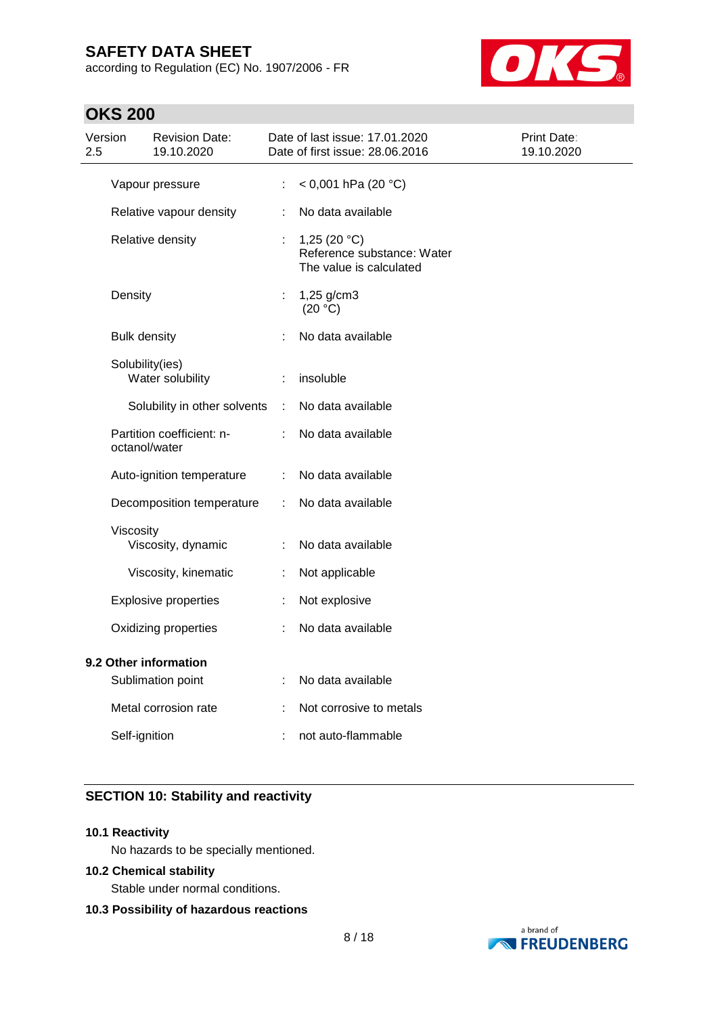according to Regulation (EC) No. 1907/2006 - FR



# **OKS 200**

| Version<br>2.5                             |                     | <b>Revision Date:</b><br>19.10.2020 |                     | Date of last issue: 17.01.2020<br>Date of first issue: 28.06.2016       | Print Date:<br>19.10.2020 |
|--------------------------------------------|---------------------|-------------------------------------|---------------------|-------------------------------------------------------------------------|---------------------------|
| Vapour pressure                            |                     | ÷.                                  | < 0,001 hPa (20 °C) |                                                                         |                           |
|                                            |                     | Relative vapour density             | t.                  | No data available                                                       |                           |
|                                            |                     | Relative density                    | ÷                   | 1,25 $(20 °C)$<br>Reference substance: Water<br>The value is calculated |                           |
|                                            | Density             |                                     | t.                  | 1,25 g/cm3<br>(20 °C)                                                   |                           |
|                                            | <b>Bulk density</b> |                                     |                     | No data available                                                       |                           |
|                                            | Solubility(ies)     | Water solubility                    |                     | insoluble                                                               |                           |
|                                            |                     | Solubility in other solvents        | ÷                   | No data available                                                       |                           |
|                                            | octanol/water       | Partition coefficient: n-           |                     | No data available                                                       |                           |
|                                            |                     | Auto-ignition temperature           | ÷.                  | No data available                                                       |                           |
|                                            |                     | Decomposition temperature           | ÷                   | No data available                                                       |                           |
|                                            | Viscosity           | Viscosity, dynamic                  |                     | No data available                                                       |                           |
|                                            |                     | Viscosity, kinematic                |                     | Not applicable                                                          |                           |
|                                            |                     | <b>Explosive properties</b>         | ÷                   | Not explosive                                                           |                           |
|                                            |                     | Oxidizing properties                |                     | No data available                                                       |                           |
| 9.2 Other information<br>Sublimation point |                     | ÷                                   | No data available   |                                                                         |                           |
|                                            |                     | Metal corrosion rate                |                     | Not corrosive to metals                                                 |                           |
|                                            | Self-ignition       |                                     |                     | not auto-flammable                                                      |                           |

### **SECTION 10: Stability and reactivity**

#### **10.1 Reactivity**

No hazards to be specially mentioned.

#### **10.2 Chemical stability**

Stable under normal conditions.

#### **10.3 Possibility of hazardous reactions**

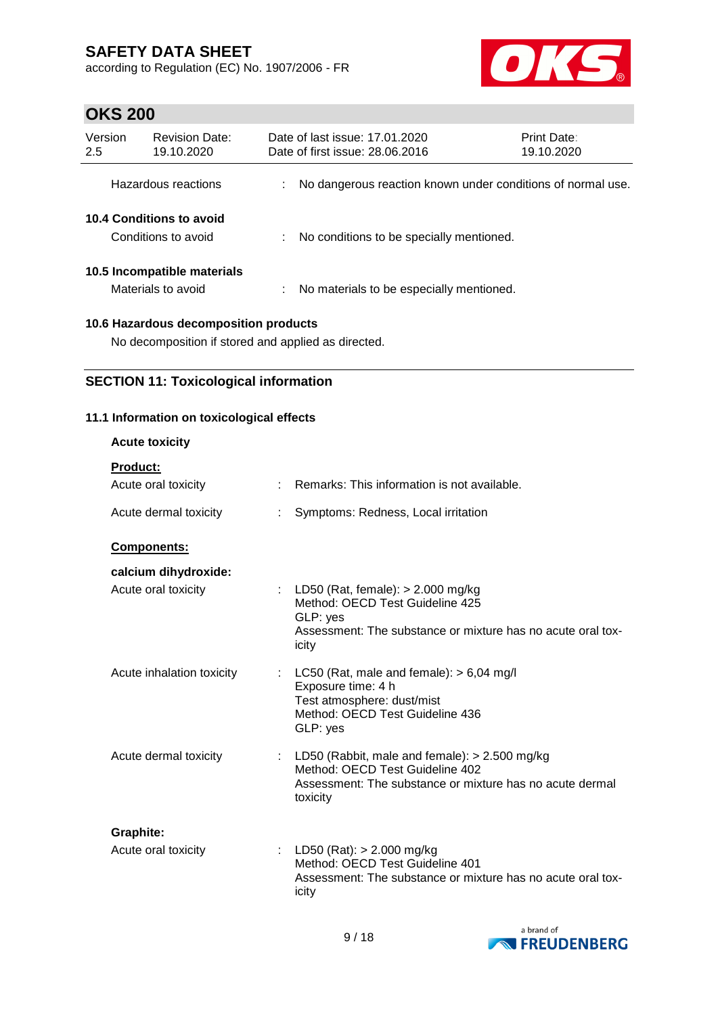according to Regulation (EC) No. 1907/2006 - FR



# **OKS 200**

| Version<br>2.5 | <b>Revision Date:</b><br>19.10.2020               |    | Date of last issue: 17.01.2020<br>Date of first issue: 28,06,2016 | Print Date:<br>19.10.2020 |
|----------------|---------------------------------------------------|----|-------------------------------------------------------------------|---------------------------|
|                | Hazardous reactions                               |    | No dangerous reaction known under conditions of normal use.       |                           |
|                | 10.4 Conditions to avoid<br>Conditions to avoid   |    | No conditions to be specially mentioned.                          |                           |
|                | 10.5 Incompatible materials<br>Materials to avoid | ÷. | No materials to be especially mentioned.                          |                           |
|                |                                                   |    |                                                                   |                           |

**10.6 Hazardous decomposition products**

No decomposition if stored and applied as directed.

## **SECTION 11: Toxicological information**

## **11.1 Information on toxicological effects**

| <b>Acute toxicity</b>            |                                                                                                                                                              |
|----------------------------------|--------------------------------------------------------------------------------------------------------------------------------------------------------------|
| <b>Product:</b>                  |                                                                                                                                                              |
| Acute oral toxicity              | : Remarks: This information is not available.                                                                                                                |
| Acute dermal toxicity            | Symptoms: Redness, Local irritation                                                                                                                          |
| Components:                      |                                                                                                                                                              |
| calcium dihydroxide:             |                                                                                                                                                              |
| Acute oral toxicity              | : LD50 (Rat, female): $> 2.000$ mg/kg<br>Method: OECD Test Guideline 425<br>GLP: yes<br>Assessment: The substance or mixture has no acute oral tox-<br>icity |
| Acute inhalation toxicity        | : LC50 (Rat, male and female): $> 6,04$ mg/l<br>Exposure time: 4 h<br>Test atmosphere: dust/mist<br>Method: OECD Test Guideline 436<br>GLP: yes              |
| Acute dermal toxicity            | : LD50 (Rabbit, male and female): $> 2.500$ mg/kg<br>Method: OECD Test Guideline 402<br>Assessment: The substance or mixture has no acute dermal<br>toxicity |
| Graphite:<br>Acute oral toxicity | : LD50 (Rat): $> 2.000$ mg/kg<br>Method: OECD Test Guideline 401<br>Assessment: The substance or mixture has no acute oral tox-<br>icity                     |

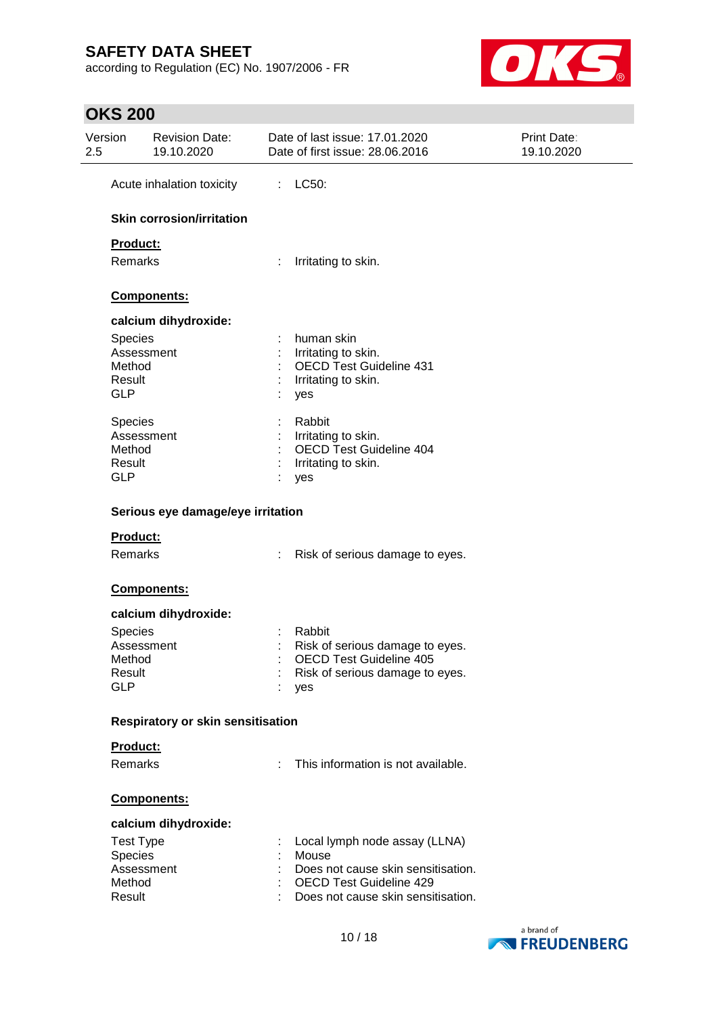according to Regulation (EC) No. 1907/2006 - FR



# **OKS 200**

| Version<br>2.5       | <b>Revision Date:</b><br>19.10.2020 | Date of last issue: 17.01.2020<br>Date of first issue: 28.06.2016 | Print Date:<br>19.10.2020 |
|----------------------|-------------------------------------|-------------------------------------------------------------------|---------------------------|
|                      | Acute inhalation toxicity           | LC50:<br>÷                                                        |                           |
|                      | <b>Skin corrosion/irritation</b>    |                                                                   |                           |
| Product:             |                                     |                                                                   |                           |
| Remarks              |                                     | Irritating to skin.                                               |                           |
|                      | Components:                         |                                                                   |                           |
|                      | calcium dihydroxide:                |                                                                   |                           |
| Species              |                                     | human skin                                                        |                           |
|                      | Assessment                          | Irritating to skin.                                               |                           |
| Method               |                                     | <b>OECD Test Guideline 431</b>                                    |                           |
| Result               |                                     | Irritating to skin.                                               |                           |
| <b>GLP</b>           |                                     | yes                                                               |                           |
| <b>Species</b>       |                                     | Rabbit                                                            |                           |
|                      | Assessment                          | Irritating to skin.                                               |                           |
| Method               |                                     | OECD Test Guideline 404                                           |                           |
| Result               |                                     | Irritating to skin.                                               |                           |
| <b>GLP</b>           |                                     | yes                                                               |                           |
| Product:             | Serious eye damage/eye irritation   |                                                                   |                           |
| Remarks              |                                     | ÷.<br>Risk of serious damage to eyes.                             |                           |
|                      |                                     |                                                                   |                           |
|                      | Components:                         |                                                                   |                           |
|                      | calcium dihydroxide:                |                                                                   |                           |
| Species              |                                     | Rabbit                                                            |                           |
|                      | Assessment                          | Risk of serious damage to eyes.                                   |                           |
| Method               |                                     | OECD Test Guideline 405                                           |                           |
| Result<br><b>GLP</b> |                                     | Risk of serious damage to eyes.                                   |                           |
|                      |                                     | yes                                                               |                           |
|                      | Respiratory or skin sensitisation   |                                                                   |                           |
| Product:             |                                     |                                                                   |                           |
| Remarks              |                                     | This information is not available.                                |                           |
|                      |                                     |                                                                   |                           |
|                      | Components:                         |                                                                   |                           |
|                      | calcium dihydroxide:                |                                                                   |                           |
| <b>Test Type</b>     |                                     | Local lymph node assay (LLNA)                                     |                           |
| Species              |                                     | Mouse                                                             |                           |
|                      | Assessment                          | Does not cause skin sensitisation.                                |                           |
| Method               |                                     | <b>OECD Test Guideline 429</b>                                    |                           |
| Result               |                                     | Does not cause skin sensitisation.                                |                           |
|                      |                                     |                                                                   |                           |

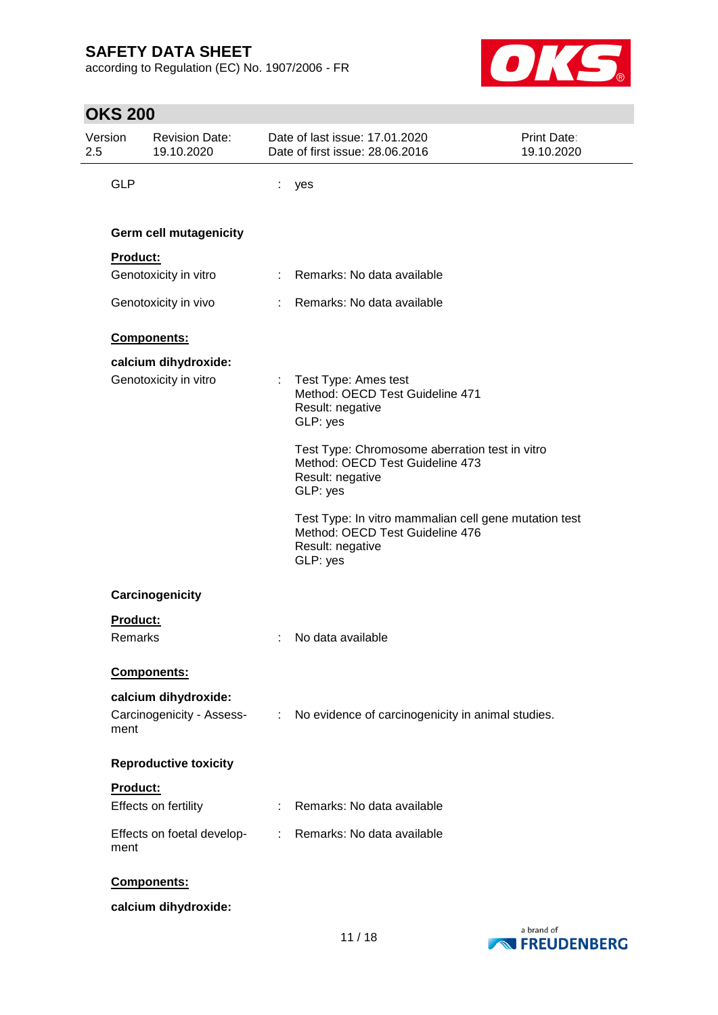according to Regulation (EC) No. 1907/2006 - FR



|                | <b>OKS 200</b>  |                                               |   |                                                                                                                          |                           |
|----------------|-----------------|-----------------------------------------------|---|--------------------------------------------------------------------------------------------------------------------------|---------------------------|
| Version<br>2.5 |                 | <b>Revision Date:</b><br>19.10.2020           |   | Date of last issue: 17.01.2020<br>Date of first issue: 28.06.2016                                                        | Print Date:<br>19.10.2020 |
|                | <b>GLP</b>      |                                               | t | yes                                                                                                                      |                           |
|                |                 | <b>Germ cell mutagenicity</b>                 |   |                                                                                                                          |                           |
|                | Product:        |                                               |   |                                                                                                                          |                           |
|                |                 | Genotoxicity in vitro                         |   | : Remarks: No data available                                                                                             |                           |
|                |                 | Genotoxicity in vivo                          |   | : Remarks: No data available                                                                                             |                           |
|                |                 | Components:                                   |   |                                                                                                                          |                           |
|                |                 | calcium dihydroxide:<br>Genotoxicity in vitro | ÷ | Test Type: Ames test<br>Method: OECD Test Guideline 471<br>Result: negative<br>GLP: yes                                  |                           |
|                |                 |                                               |   | Test Type: Chromosome aberration test in vitro<br>Method: OECD Test Guideline 473<br>Result: negative<br>GLP: yes        |                           |
|                |                 |                                               |   | Test Type: In vitro mammalian cell gene mutation test<br>Method: OECD Test Guideline 476<br>Result: negative<br>GLP: yes |                           |
|                |                 | Carcinogenicity                               |   |                                                                                                                          |                           |
|                | <b>Product:</b> |                                               |   |                                                                                                                          |                           |
|                | Remarks         |                                               |   | No data available                                                                                                        |                           |
|                |                 | Components:                                   |   |                                                                                                                          |                           |
|                |                 | calcium dihydroxide:                          |   |                                                                                                                          |                           |
|                | ment            |                                               |   | Carcinogenicity - Assess- : No evidence of carcinogenicity in animal studies.                                            |                           |
|                |                 | <b>Reproductive toxicity</b>                  |   |                                                                                                                          |                           |
|                | Product:        |                                               |   |                                                                                                                          |                           |
|                |                 | Effects on fertility                          |   | Remarks: No data available                                                                                               |                           |
|                | ment            | Effects on foetal develop-                    |   | : Remarks: No data available                                                                                             |                           |
|                |                 | Components:                                   |   |                                                                                                                          |                           |

**calcium dihydroxide:**

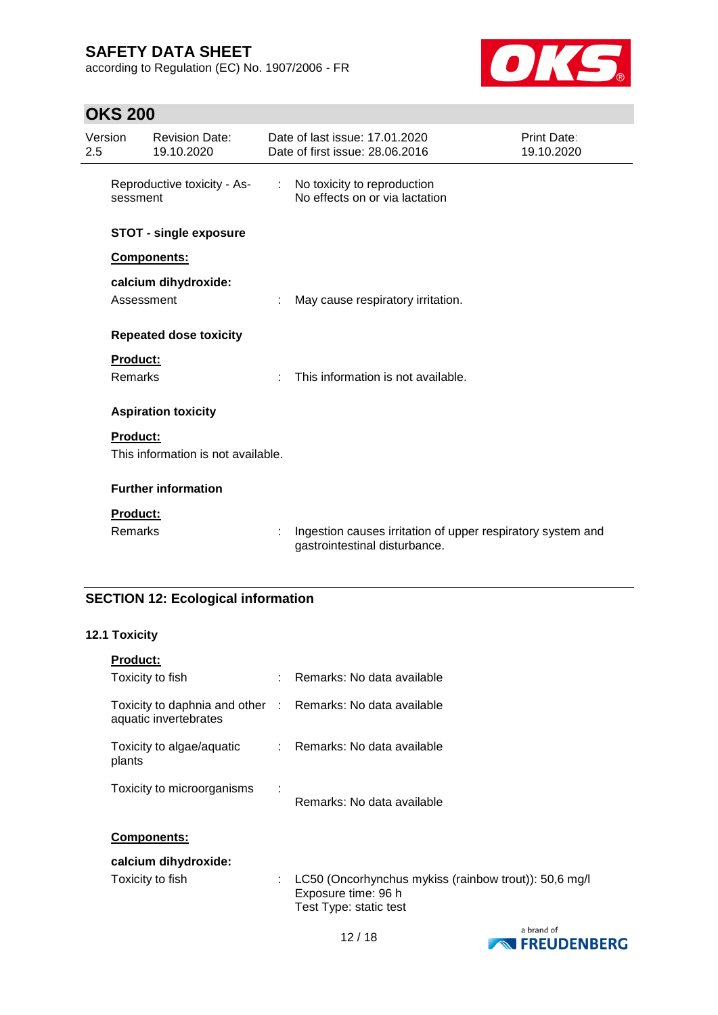according to Regulation (EC) No. 1907/2006 - FR



# **OKS 200**

| 2.5 | Version         | <b>Revision Date:</b><br>19.10.2020 |   | Date of last issue: 17.01.2020<br>Date of first issue: 28,06,2016                            | Print Date:<br>19.10.2020 |
|-----|-----------------|-------------------------------------|---|----------------------------------------------------------------------------------------------|---------------------------|
|     | sessment        |                                     |   | Reproductive toxicity - As- : No toxicity to reproduction<br>No effects on or via lactation  |                           |
|     |                 | <b>STOT - single exposure</b>       |   |                                                                                              |                           |
|     |                 | Components:                         |   |                                                                                              |                           |
|     | Assessment      | calcium dihydroxide:                | ÷ | May cause respiratory irritation.                                                            |                           |
|     |                 | <b>Repeated dose toxicity</b>       |   |                                                                                              |                           |
|     | <b>Product:</b> |                                     |   |                                                                                              |                           |
|     | Remarks         |                                     | ÷ | This information is not available.                                                           |                           |
|     |                 | <b>Aspiration toxicity</b>          |   |                                                                                              |                           |
|     | Product:        |                                     |   |                                                                                              |                           |
|     |                 | This information is not available.  |   |                                                                                              |                           |
|     |                 | <b>Further information</b>          |   |                                                                                              |                           |
|     | Product:        |                                     |   |                                                                                              |                           |
|     | Remarks         |                                     | ÷ | Ingestion causes irritation of upper respiratory system and<br>gastrointestinal disturbance. |                           |

## **SECTION 12: Ecological information**

## **12.1 Toxicity**

| <b>Product:</b>                                                                     |    |                                                                                                        |
|-------------------------------------------------------------------------------------|----|--------------------------------------------------------------------------------------------------------|
| Toxicity to fish                                                                    |    | : Remarks: No data available                                                                           |
| Toxicity to daphnia and other : Remarks: No data available<br>aquatic invertebrates |    |                                                                                                        |
| Toxicity to algae/aquatic<br>plants                                                 |    | : Remarks: No data available                                                                           |
| Toxicity to microorganisms                                                          |    | Remarks: No data available                                                                             |
| <b>Components:</b>                                                                  |    |                                                                                                        |
| calcium dihydroxide:                                                                |    |                                                                                                        |
| Toxicity to fish                                                                    | ÷. | LC50 (Oncorhynchus mykiss (rainbow trout)): 50,6 mg/l<br>Exposure time: 96 h<br>Test Type: static test |

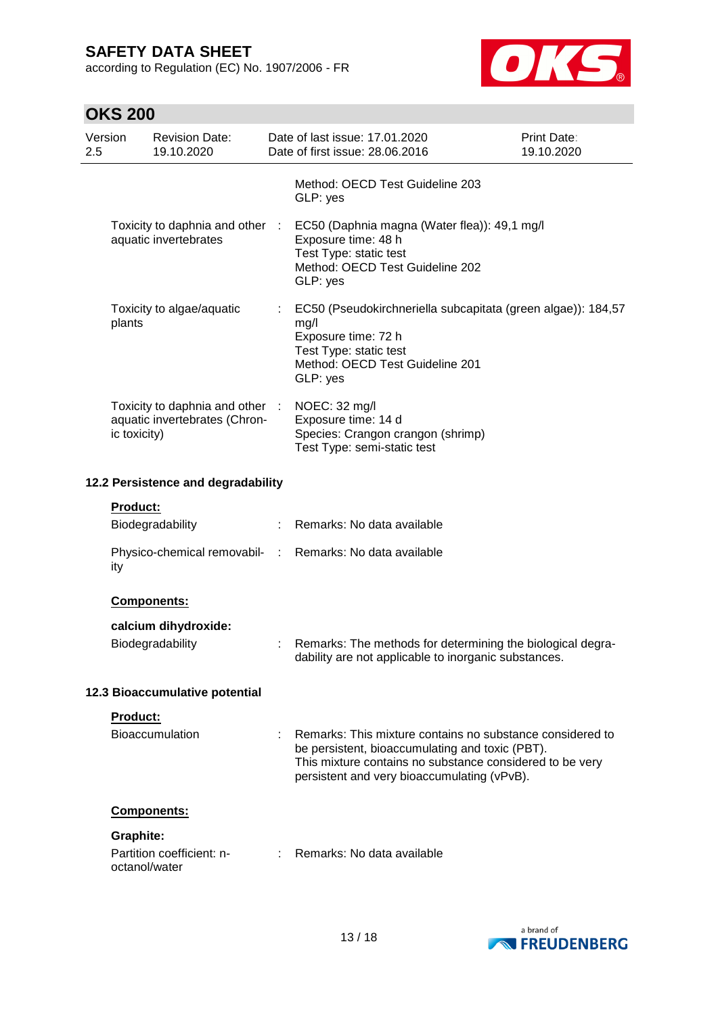according to Regulation (EC) No. 1907/2006 - FR



# **OKS 200**

| 2.5                                | Version          | <b>Revision Date:</b><br>19.10.2020                              |    | Date of last issue: 17.01.2020<br>Date of first issue: 28.06.2016                                                                                                                                                       | Print Date:<br>19.10.2020 |
|------------------------------------|------------------|------------------------------------------------------------------|----|-------------------------------------------------------------------------------------------------------------------------------------------------------------------------------------------------------------------------|---------------------------|
|                                    |                  |                                                                  |    | Method: OECD Test Guideline 203<br>GLP: yes                                                                                                                                                                             |                           |
|                                    |                  | Toxicity to daphnia and other :<br>aquatic invertebrates         |    | EC50 (Daphnia magna (Water flea)): 49,1 mg/l<br>Exposure time: 48 h<br>Test Type: static test<br>Method: OECD Test Guideline 202<br>GLP: yes                                                                            |                           |
|                                    | plants           | Toxicity to algae/aquatic                                        |    | EC50 (Pseudokirchneriella subcapitata (green algae)): 184,57<br>mg/l<br>Exposure time: 72 h<br>Test Type: static test<br>Method: OECD Test Guideline 201<br>GLP: yes                                                    |                           |
|                                    | ic toxicity)     | Toxicity to daphnia and other :<br>aquatic invertebrates (Chron- |    | NOEC: 32 mg/l<br>Exposure time: 14 d<br>Species: Crangon crangon (shrimp)<br>Test Type: semi-static test                                                                                                                |                           |
| 12.2 Persistence and degradability |                  |                                                                  |    |                                                                                                                                                                                                                         |                           |
|                                    | <b>Product:</b>  |                                                                  |    |                                                                                                                                                                                                                         |                           |
|                                    |                  | Biodegradability                                                 |    | Remarks: No data available                                                                                                                                                                                              |                           |
|                                    | ity              |                                                                  |    | Physico-chemical removabil- : Remarks: No data available                                                                                                                                                                |                           |
|                                    |                  | <b>Components:</b>                                               |    |                                                                                                                                                                                                                         |                           |
|                                    |                  | calcium dihydroxide:                                             |    |                                                                                                                                                                                                                         |                           |
|                                    |                  | Biodegradability                                                 | t. | Remarks: The methods for determining the biological degra-<br>dability are not applicable to inorganic substances.                                                                                                      |                           |
|                                    |                  | 12.3 Bioaccumulative potential                                   |    |                                                                                                                                                                                                                         |                           |
|                                    | Product:         |                                                                  |    |                                                                                                                                                                                                                         |                           |
|                                    |                  | Bioaccumulation                                                  |    | Remarks: This mixture contains no substance considered to<br>be persistent, bioaccumulating and toxic (PBT).<br>This mixture contains no substance considered to be very<br>persistent and very bioaccumulating (vPvB). |                           |
|                                    |                  | Components:                                                      |    |                                                                                                                                                                                                                         |                           |
|                                    | <b>Graphite:</b> |                                                                  |    |                                                                                                                                                                                                                         |                           |
|                                    | octanol/water    | Partition coefficient: n-                                        |    | Remarks: No data available                                                                                                                                                                                              |                           |

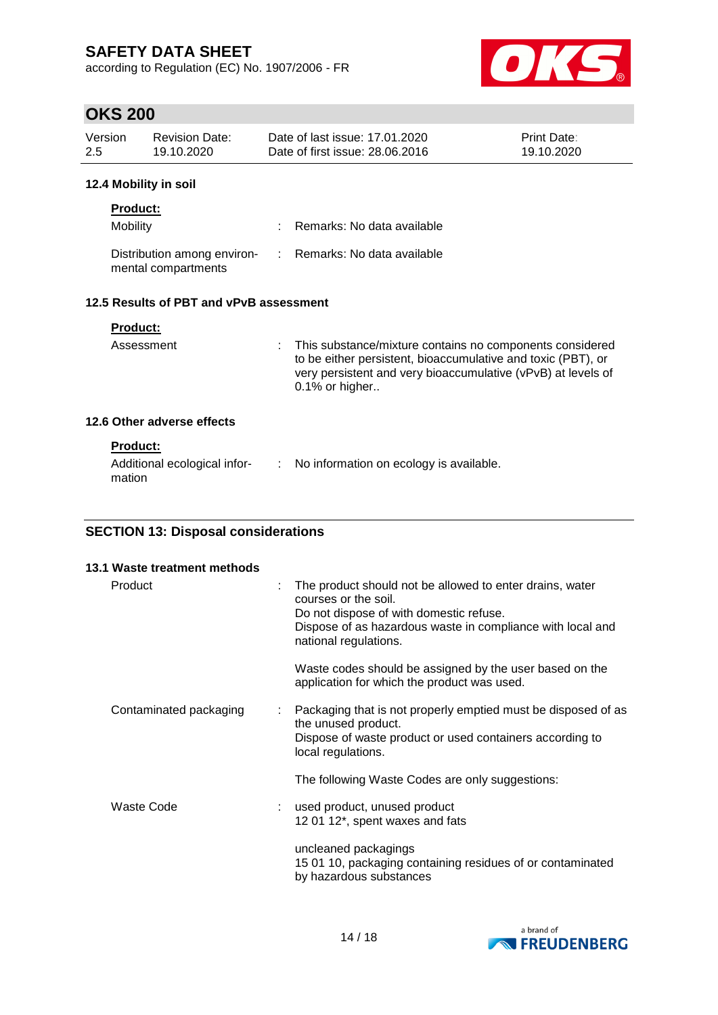according to Regulation (EC) No. 1907/2006 - FR



# **OKS 200**

| Version<br>2.5  | <b>Revision Date:</b><br>19.10.2020                | Date of last issue: 17.01.2020<br>Date of first issue: 28,06,2016 | Print Date:<br>19.10.2020 |
|-----------------|----------------------------------------------------|-------------------------------------------------------------------|---------------------------|
|                 | 12.4 Mobility in soil                              |                                                                   |                           |
| <b>Product:</b> |                                                    |                                                                   |                           |
| <b>Mobility</b> |                                                    | Remarks: No data available                                        |                           |
|                 | Distribution among environ-<br>mental compartments | Remarks: No data available                                        |                           |

### **12.5 Results of PBT and vPvB assessment**

| <b>Product:</b><br>Assessment | This substance/mixture contains no components considered<br>t.<br>to be either persistent, bioaccumulative and toxic (PBT), or<br>very persistent and very bioaccumulative (vPvB) at levels of<br>$0.1\%$ or higher |
|-------------------------------|---------------------------------------------------------------------------------------------------------------------------------------------------------------------------------------------------------------------|
| 12.6 Other adverse effects    |                                                                                                                                                                                                                     |

## **Product:**

| mation | Additional ecological infor- |  | : No information on ecology is available. |
|--------|------------------------------|--|-------------------------------------------|
|--------|------------------------------|--|-------------------------------------------|

## **SECTION 13: Disposal considerations**

| 13.1 Waste treatment methods |                                                                                                                                                                                                                         |
|------------------------------|-------------------------------------------------------------------------------------------------------------------------------------------------------------------------------------------------------------------------|
| Product                      | The product should not be allowed to enter drains, water<br>÷<br>courses or the soil.<br>Do not dispose of with domestic refuse.<br>Dispose of as hazardous waste in compliance with local and<br>national regulations. |
|                              | Waste codes should be assigned by the user based on the<br>application for which the product was used.                                                                                                                  |
| Contaminated packaging       | Packaging that is not properly emptied must be disposed of as<br>÷.<br>the unused product.<br>Dispose of waste product or used containers according to<br>local regulations.                                            |
|                              | The following Waste Codes are only suggestions:                                                                                                                                                                         |
| Waste Code                   | used product, unused product<br>12 01 12*, spent waxes and fats                                                                                                                                                         |
|                              | uncleaned packagings<br>15 01 10, packaging containing residues of or contaminated<br>by hazardous substances                                                                                                           |

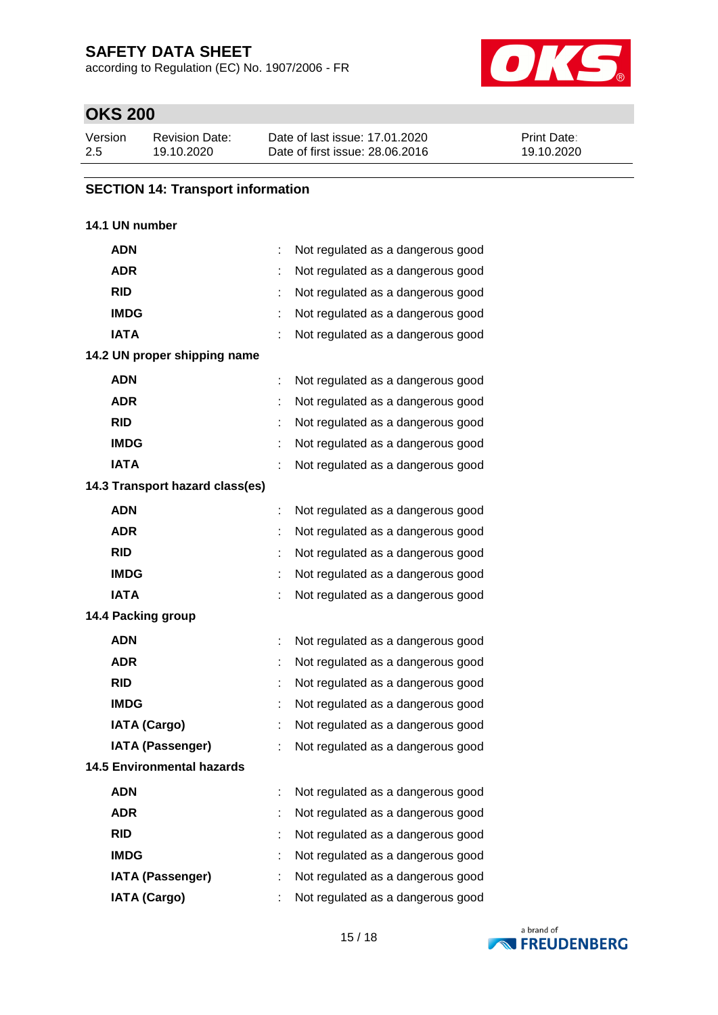according to Regulation (EC) No. 1907/2006 - FR



# **OKS 200**

| Version | <b>Revision Date:</b> | Date of last issue: 17.01.2020  | <b>Print Date:</b> |
|---------|-----------------------|---------------------------------|--------------------|
| 2.5     | 19.10.2020            | Date of first issue: 28,06,2016 | 19.10.2020         |

#### **SECTION 14: Transport information**

### **14.1 UN number**

| <b>ADN</b>                        |   | Not regulated as a dangerous good |
|-----------------------------------|---|-----------------------------------|
| <b>ADR</b>                        |   | Not regulated as a dangerous good |
| <b>RID</b>                        | t | Not regulated as a dangerous good |
| <b>IMDG</b>                       |   | Not regulated as a dangerous good |
| <b>IATA</b>                       |   | Not regulated as a dangerous good |
| 14.2 UN proper shipping name      |   |                                   |
| <b>ADN</b>                        |   | Not regulated as a dangerous good |
| <b>ADR</b>                        |   | Not regulated as a dangerous good |
| <b>RID</b>                        |   | Not regulated as a dangerous good |
| <b>IMDG</b>                       |   | Not regulated as a dangerous good |
| <b>IATA</b>                       |   | Not regulated as a dangerous good |
| 14.3 Transport hazard class(es)   |   |                                   |
| <b>ADN</b>                        |   | Not regulated as a dangerous good |
| <b>ADR</b>                        |   | Not regulated as a dangerous good |
| <b>RID</b>                        | t | Not regulated as a dangerous good |
| <b>IMDG</b>                       |   | Not regulated as a dangerous good |
| <b>IATA</b>                       |   | Not regulated as a dangerous good |
| 14.4 Packing group                |   |                                   |
| <b>ADN</b>                        |   | Not regulated as a dangerous good |
| <b>ADR</b>                        |   | Not regulated as a dangerous good |
| <b>RID</b>                        | ÷ | Not regulated as a dangerous good |
| <b>IMDG</b>                       |   | Not regulated as a dangerous good |
| <b>IATA (Cargo)</b>               |   | Not regulated as a dangerous good |
| <b>IATA (Passenger)</b>           |   | Not regulated as a dangerous good |
| <b>14.5 Environmental hazards</b> |   |                                   |
| <b>ADN</b>                        |   | Not regulated as a dangerous good |
| <b>ADR</b>                        |   | Not regulated as a dangerous good |
| <b>RID</b>                        |   | Not regulated as a dangerous good |
| <b>IMDG</b>                       |   | Not regulated as a dangerous good |
| <b>IATA (Passenger)</b>           |   | Not regulated as a dangerous good |
| <b>IATA (Cargo)</b>               |   | Not regulated as a dangerous good |

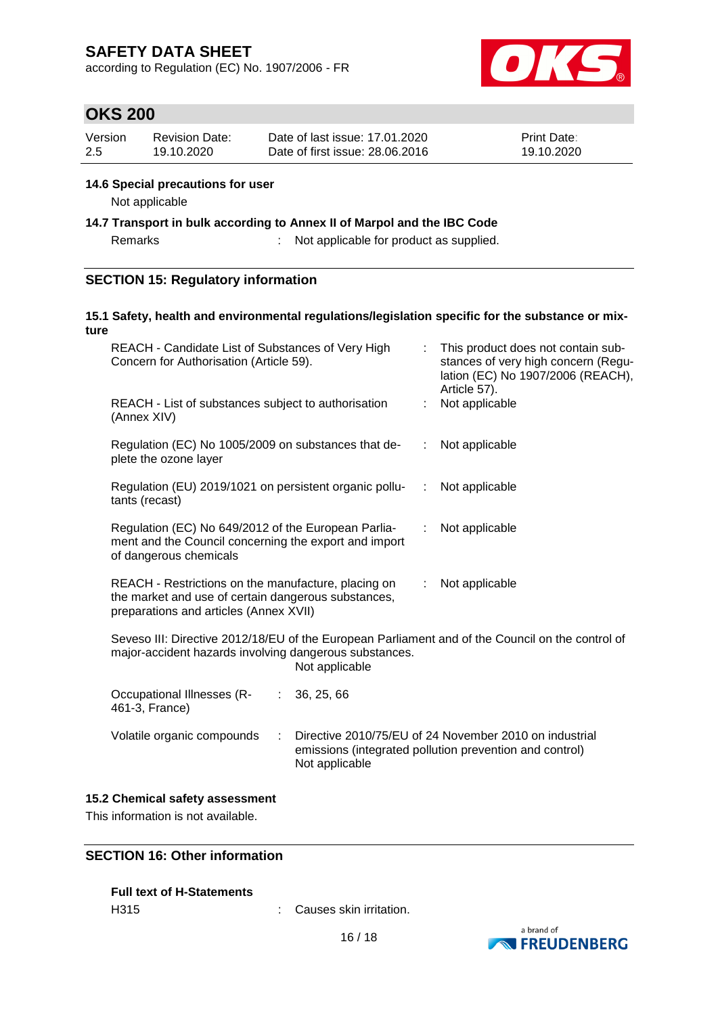according to Regulation (EC) No. 1907/2006 - FR



## **OKS 200**

| Version | Revision Date: | Date of last issue: 17.01.2020  | <b>Print Date:</b> |
|---------|----------------|---------------------------------|--------------------|
| -2.5    | 19.10.2020     | Date of first issue: 28,06,2016 | 19.10.2020         |

#### **14.6 Special precautions for user**

Not applicable

**14.7 Transport in bulk according to Annex II of Marpol and the IBC Code**

Remarks : Not applicable for product as supplied.

#### **SECTION 15: Regulatory information**

#### **15.1 Safety, health and environmental regulations/legislation specific for the substance or mixture**

| REACH - Candidate List of Substances of Very High<br>Concern for Authorisation (Article 59).                                                                                 |            |                | This product does not contain sub-<br>stances of very high concern (Regu-<br>lation (EC) No 1907/2006 (REACH),<br>Article 57). |
|------------------------------------------------------------------------------------------------------------------------------------------------------------------------------|------------|----------------|--------------------------------------------------------------------------------------------------------------------------------|
| REACH - List of substances subject to authorisation<br>(Annex XIV)                                                                                                           |            | t.             | Not applicable                                                                                                                 |
| Regulation (EC) No 1005/2009 on substances that de-<br>plete the ozone layer                                                                                                 |            |                | Not applicable<br>$\mathbb{Z}^{\mathbb{Z}}$                                                                                    |
| Regulation (EU) 2019/1021 on persistent organic pollu-<br>tants (recast)                                                                                                     |            | $\mathbb{R}^n$ | Not applicable                                                                                                                 |
| Regulation (EC) No 649/2012 of the European Parlia-<br>ment and the Council concerning the export and import<br>of dangerous chemicals                                       |            |                | Not applicable                                                                                                                 |
| REACH - Restrictions on the manufacture, placing on<br>the market and use of certain dangerous substances,<br>preparations and articles (Annex XVII)                         |            | ÷.             | Not applicable                                                                                                                 |
| Seveso III: Directive 2012/18/EU of the European Parliament and of the Council on the control of<br>major-accident hazards involving dangerous substances.<br>Not applicable |            |                |                                                                                                                                |
| Occupational Illnesses (R-<br>÷.<br>461-3, France)                                                                                                                           | 36, 25, 66 |                |                                                                                                                                |
| Volatile organic compounds<br>Directive 2010/75/EU of 24 November 2010 on industrial<br>÷<br>emissions (integrated pollution prevention and control)<br>Not applicable       |            |                |                                                                                                                                |

#### **15.2 Chemical safety assessment**

This information is not available.

### **SECTION 16: Other information**

|                  | <b>Full text of H-Statements</b> |
|------------------|----------------------------------|
| H <sub>315</sub> |                                  |

: Causes skin irritation.

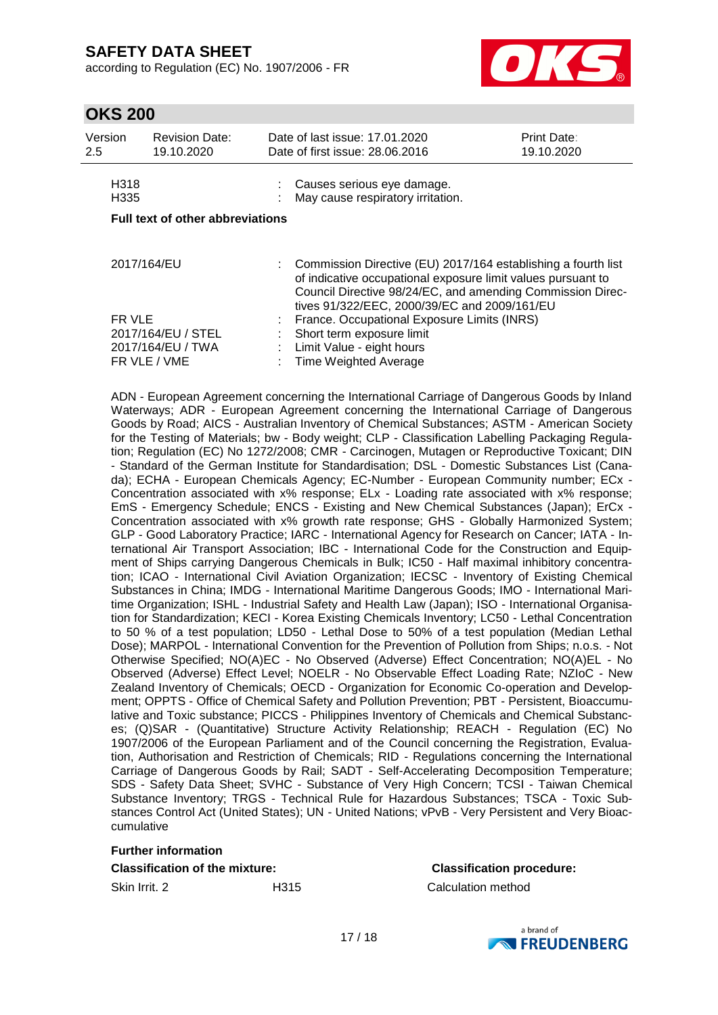according to Regulation (EC) No. 1907/2006 - FR



# **OKS 200**

| Version<br>2.5                          | <b>Revision Date:</b><br>19.10.2020                     |                                                                                                                                                                                                                                             | Date of last issue: 17.01.2020<br>Date of first issue: 28,06,2016                                                                     | Print Date:<br>19.10.2020 |  |
|-----------------------------------------|---------------------------------------------------------|---------------------------------------------------------------------------------------------------------------------------------------------------------------------------------------------------------------------------------------------|---------------------------------------------------------------------------------------------------------------------------------------|---------------------------|--|
| H <sub>318</sub><br>H <sub>335</sub>    |                                                         |                                                                                                                                                                                                                                             | Causes serious eye damage.<br>May cause respiratory irritation.                                                                       |                           |  |
| <b>Full text of other abbreviations</b> |                                                         |                                                                                                                                                                                                                                             |                                                                                                                                       |                           |  |
| 2017/164/EU                             |                                                         | Commission Directive (EU) 2017/164 establishing a fourth list<br>of indicative occupational exposure limit values pursuant to<br>Council Directive 98/24/EC, and amending Commission Direc-<br>tives 91/322/EEC, 2000/39/EC and 2009/161/EU |                                                                                                                                       |                           |  |
| FR VLE                                  | 2017/164/EU / STEL<br>2017/164/EU / TWA<br>FR VLE / VME |                                                                                                                                                                                                                                             | France. Occupational Exposure Limits (INRS)<br>Short term exposure limit<br>Limit Value - eight hours<br><b>Time Weighted Average</b> |                           |  |

ADN - European Agreement concerning the International Carriage of Dangerous Goods by Inland Waterways; ADR - European Agreement concerning the International Carriage of Dangerous Goods by Road; AICS - Australian Inventory of Chemical Substances; ASTM - American Society for the Testing of Materials; bw - Body weight; CLP - Classification Labelling Packaging Regulation; Regulation (EC) No 1272/2008; CMR - Carcinogen, Mutagen or Reproductive Toxicant; DIN - Standard of the German Institute for Standardisation; DSL - Domestic Substances List (Canada); ECHA - European Chemicals Agency; EC-Number - European Community number; ECx - Concentration associated with x% response; ELx - Loading rate associated with x% response; EmS - Emergency Schedule; ENCS - Existing and New Chemical Substances (Japan); ErCx - Concentration associated with x% growth rate response; GHS - Globally Harmonized System; GLP - Good Laboratory Practice; IARC - International Agency for Research on Cancer; IATA - International Air Transport Association; IBC - International Code for the Construction and Equipment of Ships carrying Dangerous Chemicals in Bulk; IC50 - Half maximal inhibitory concentration; ICAO - International Civil Aviation Organization; IECSC - Inventory of Existing Chemical Substances in China; IMDG - International Maritime Dangerous Goods; IMO - International Maritime Organization; ISHL - Industrial Safety and Health Law (Japan); ISO - International Organisation for Standardization; KECI - Korea Existing Chemicals Inventory; LC50 - Lethal Concentration to 50 % of a test population; LD50 - Lethal Dose to 50% of a test population (Median Lethal Dose); MARPOL - International Convention for the Prevention of Pollution from Ships; n.o.s. - Not Otherwise Specified; NO(A)EC - No Observed (Adverse) Effect Concentration; NO(A)EL - No Observed (Adverse) Effect Level; NOELR - No Observable Effect Loading Rate; NZIoC - New Zealand Inventory of Chemicals; OECD - Organization for Economic Co-operation and Development; OPPTS - Office of Chemical Safety and Pollution Prevention; PBT - Persistent, Bioaccumulative and Toxic substance; PICCS - Philippines Inventory of Chemicals and Chemical Substances; (Q)SAR - (Quantitative) Structure Activity Relationship; REACH - Regulation (EC) No 1907/2006 of the European Parliament and of the Council concerning the Registration, Evaluation, Authorisation and Restriction of Chemicals; RID - Regulations concerning the International Carriage of Dangerous Goods by Rail; SADT - Self-Accelerating Decomposition Temperature; SDS - Safety Data Sheet; SVHC - Substance of Very High Concern; TCSI - Taiwan Chemical Substance Inventory; TRGS - Technical Rule for Hazardous Substances; TSCA - Toxic Substances Control Act (United States); UN - United Nations; vPvB - Very Persistent and Very Bioaccumulative

### **Further information**

#### **Classification of the mixture: Classification procedure:**

Skin Irrit. 2 H315 Calculation method